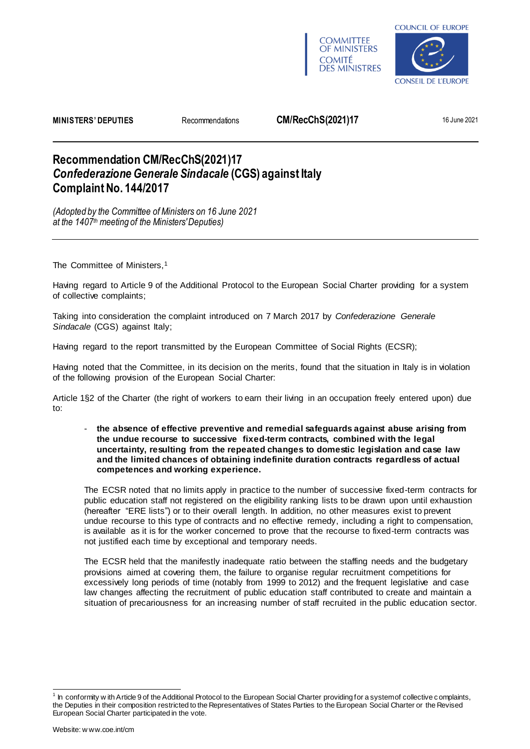



**MINISTERS' DEPUTIES** Recommendations **CM/RecChS(2021)17** 16 June 2021

## **Recommendation CM/RecChS(2021)17** *Confederazione Generale Sindacale* **(CGS) against Italy Complaint No. 144/2017**

*(Adopted by the Committee of Ministers on 16 June 2021 at the 1407th meeting of the Ministers' Deputies)*

The Committee of Ministers,<sup>1</sup>

Having regard to Article 9 of the Additional Protocol to the European Social Charter providing for a system of collective complaints;

Taking into consideration the complaint introduced on 7 March 2017 by *Confederazione Generale*  Sindacale (CGS) against Italy;

Having regard to the report transmitted by the European Committee of Social Rights (ECSR);

Having noted that the Committee, in its decision on the merits, found that the situation in Italy is in violation of the following provision of the European Social Charter:

Article 1§2 of the Charter (the right of workers to earn their living in an occupation freely entered upon) due to:

- **the absence of effective preventive and remedial safeguards against abuse arising from the undue recourse to successive fixed-term contracts, combined with the legal uncertainty, resulting from the repeated changes to domestic legislation and case law and the limited chances of obtaining indefinite duration contracts regardless of actual competences and working experience.**

The ECSR noted that no limits apply in practice to the number of successive fixed-term contracts for public education staff not registered on the eligibility ranking lists to be drawn upon until exhaustion (hereafter "ERE lists") or to their overall length. In addition, no other measures exist to prevent undue recourse to this type of contracts and no effective remedy, including a right to compensation, is available as it is for the worker concerned to prove that the recourse to fixed-term contracts was not justified each time by exceptional and temporary needs.

The ECSR held that the manifestly inadequate ratio between the staffing needs and the budgetary provisions aimed at covering them, the failure to organise regular recruitment competitions for excessively long periods of time (notably from 1999 to 2012) and the frequent legislative and case law changes affecting the recruitment of public education staff contributed to create and maintain a situation of precariousness for an increasing number of staff recruited in the public education sector.

<sup>&</sup>lt;sup>1</sup> In conformity w ith Article 9 of the Additional Protocol to the European Social Charter providing for a system of collective c omplaints, the Deputies in their composition restricted to the Representatives of States Parties to the European Social Charter or the Revised European Social Charter participated in the vote.